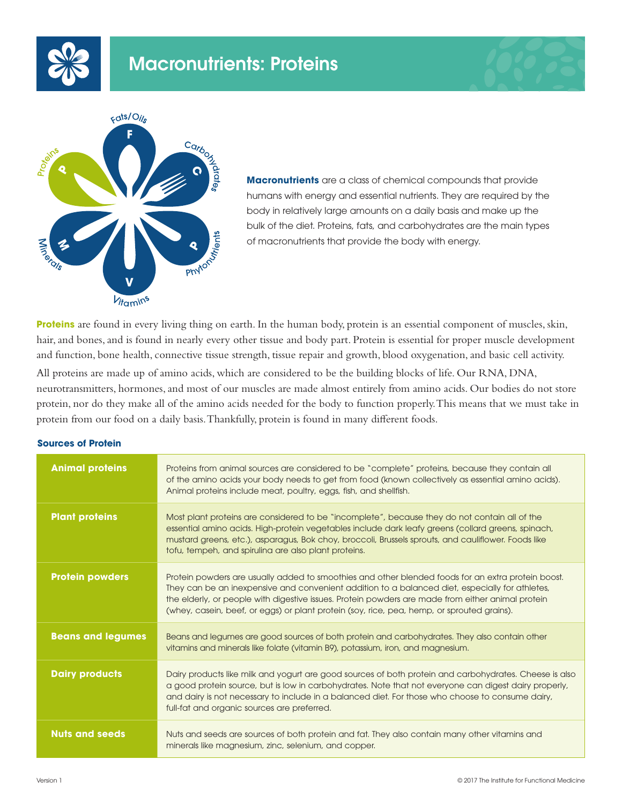





**Macronutrients** are a class of chemical compounds that provide humans with energy and essential nutrients. They are required by the body in relatively large amounts on a daily basis and make up the bulk of the diet. Proteins, fats, and carbohydrates are the main types of macronutrients that provide the body with energy.

**Proteins** are found in every living thing on earth. In the human body, protein is an essential component of muscles, skin, hair, and bones, and is found in nearly every other tissue and body part. Protein is essential for proper muscle development and function, bone health, connective tissue strength, tissue repair and growth, blood oxygenation, and basic cell activity.

All proteins are made up of amino acids, which are considered to be the building blocks of life. Our RNA, DNA, neurotransmitters, hormones, and most of our muscles are made almost entirely from amino acids. Our bodies do not store protein, nor do they make all of the amino acids needed for the body to function properly. This means that we must take in protein from our food on a daily basis. Thankfully, protein is found in many different foods.

## **Sources of Protein**

| <b>Animal proteins</b>   | Proteins from animal sources are considered to be "complete" proteins, because they contain all<br>of the amino acids your body needs to get from food (known collectively as essential amino acids).<br>Animal proteins include meat, poultry, eggs, fish, and shellfish.                                                                                                                               |
|--------------------------|----------------------------------------------------------------------------------------------------------------------------------------------------------------------------------------------------------------------------------------------------------------------------------------------------------------------------------------------------------------------------------------------------------|
| <b>Plant proteins</b>    | Most plant proteins are considered to be "incomplete", because they do not contain all of the<br>essential amino acids. High-protein vegetables include dark leafy greens (collard greens, spinach,<br>mustard greens, etc.), asparagus, Bok choy, broccoli, Brussels sprouts, and cauliflower. Foods like<br>tofu, tempeh, and spiruling are also plant proteins.                                       |
| <b>Protein powders</b>   | Protein powders are usually added to smoothies and other blended foods for an extra protein boost.<br>They can be an inexpensive and convenient addition to a balanced diet, especially for athletes,<br>the elderly, or people with digestive issues. Protein powders are made from either animal protein<br>(whey, casein, beef, or eggs) or plant protein (soy, rice, pea, hemp, or sprouted grains). |
| <b>Beans and legumes</b> | Beans and legumes are good sources of both protein and carbohydrates. They also contain other<br>vitamins and minerals like folate (vitamin B9), potassium, iron, and magnesium.                                                                                                                                                                                                                         |
| <b>Dairy products</b>    | Dairy products like milk and yogurt are good sources of both protein and carbohydrates. Cheese is also<br>a good protein source, but is low in carbohydrates. Note that not everyone can digest dairy properly,<br>and dairy is not necessary to include in a balanced diet. For those who choose to consume dairy,<br>full-fat and organic sources are preferred.                                       |
| <b>Nuts and seeds</b>    | Nuts and seeds are sources of both protein and fat. They also contain many other vitamins and<br>minerals like magnesium, zinc, selenium, and copper.                                                                                                                                                                                                                                                    |